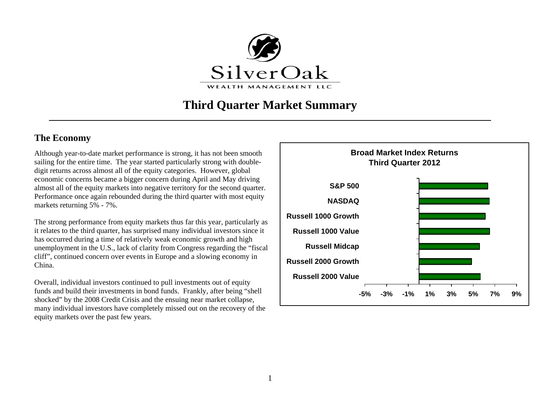

# **Third Quarter Market Summary**

## **The Economy**

Although year-to-date market performance is strong, it has not been smooth sailing for the entire time. The year started particularly strong with doubledigit returns across almost all of the equity categories. However, global economic concerns became a bigger concern during April and May driving almost all of the equity markets into negative territory for the second quarter. Performance once again rebounded during the third quarter with most equity markets returning 5% - 7%.

The strong performance from equity markets thus far this year, particularly as it relates to the third quarter, has surprised many individual investors since it has occurred during a time of relatively weak economic growth and high unemployment in the U.S., lack of clarity from Congress regarding the "fiscal cliff", continued concern over events in Europe and a slowing economy in China.

Overall, individual investors continued to pull investments out of equity funds and build their investments in bond funds. Frankly, after being "shell shocked" by the 2008 Credit Crisis and the ensuing near market collapse, many individual investors have completely missed out on the recovery of the equity markets over the past few years.

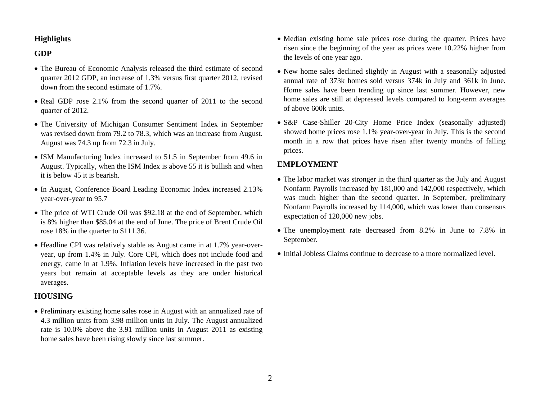#### **Highlights**

#### **GDP**

- The Bureau of Economic Analysis released the third estimate of second quarter 2012 GDP, an increase of 1.3% versus first quarter 2012, revised down from the second estimate of 1.7%.
- Real GDP rose 2.1% from the second quarter of 2011 to the second quarter of 2012.
- The University of Michigan Consumer Sentiment Index in September was revised down from 79.2 to 78.3, which was an increase from August. August was 74.3 up from 72.3 in July.
- ISM Manufacturing Index increased to 51.5 in September from 49.6 in August. Typically, when the ISM Index is above 55 it is bullish and when it is below 45 it is bearish.
- In August, Conference Board Leading Economic Index increased 2.13% year-over-year to 95.7
- The price of WTI Crude Oil was \$92.18 at the end of September, which is 8% higher than \$85.04 at the end of June. The price of Brent Crude Oil rose 18% in the quarter to \$111.36.
- Headline CPI was relatively stable as August came in at 1.7% year-overyear, up from 1.4% in July. Core CPI, which does not include food and energy, came in at 1.9%. Inflation levels have increased in the past two years but remain at acceptable levels as they are under historical averages.

#### **HOUSING**

• Preliminary existing home sales rose in August with an annualized rate of 4.3 million units from 3.98 million units in July. The August annualized rate is 10.0% above the 3.91 million units in August 2011 as existing home sales have been rising slowly since last summer.

- Median existing home sale prices rose during the quarter. Prices have risen since the beginning of the year as prices were 10.22% higher from the levels of one year ago.
- New home sales declined slightly in August with a seasonally adjusted annual rate of 373k homes sold versus 374k in July and 361k in June. Home sales have been trending up since last summer. However, new home sales are still at depressed levels compared to long-term averages of above 600k units.
- S&P Case-Shiller 20-City Home Price Index (seasonally adjusted) showed home prices rose 1.1% year-over-year in July. This is the second month in a row that prices have risen after twenty months of falling prices.

## **EMPLOYMENT**

- The labor market was stronger in the third quarter as the July and August Nonfarm Payrolls increased by 181,000 and 142,000 respectively, which was much higher than the second quarter. In September, preliminary Nonfarm Payrolls increased by 114,000, which was lower than consensus expectation of 120,000 new jobs.
- The unemployment rate decreased from 8.2% in June to 7.8% in September.
- Initial Jobless Claims continue to decrease to a more normalized level.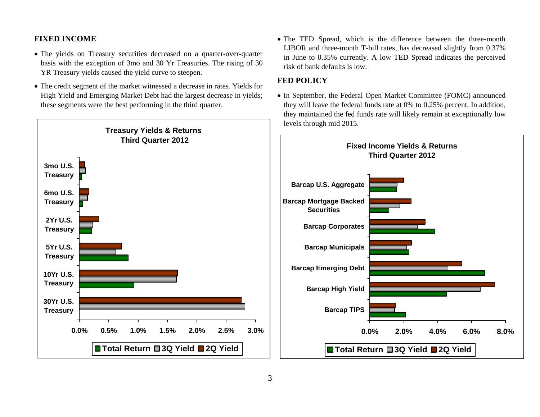## **FIXED INCOME**

- The yields on Treasury securities decreased on a quarter-over-quarter basis with the exception of 3mo and 30 Yr Treasuries. The rising of 30 YR Treasury yields caused the yield curve to steepen.
- The credit segment of the market witnessed a decrease in rates. Yields for High Yield and Emerging Market Debt had the largest decrease in yields; these segments were the best performing in the third quarter.



• The TED Spread, which is the difference between the three-month LIBOR and three-month T-bill rates, has decreased slightly from 0.37% in June to 0.35% currently. A low TED Spread indicates the perceived risk of bank defaults is low.

## **FED POLICY**

• In September, the Federal Open Market Committee (FOMC) announced they will leave the federal funds rate at 0% to 0.25% percent. In addition, they maintained the fed funds rate will likely remain at exceptionally low levels through mid 2015.